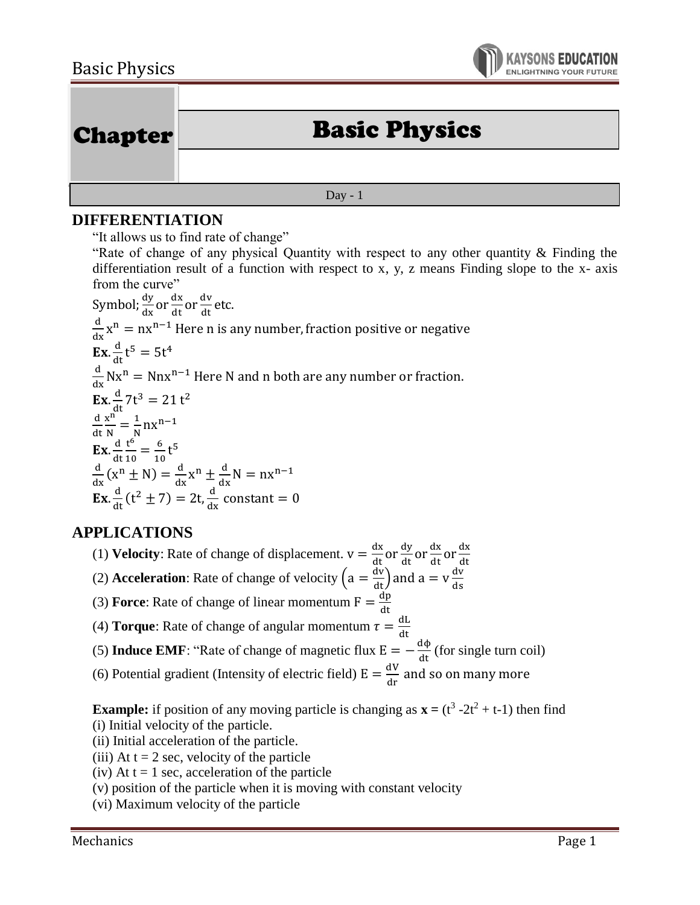

| <b>Chapter</b> |                      |
|----------------|----------------------|
|                | <b>Basic Physics</b> |
|                |                      |
| Day - $1$      |                      |

## **DIFFERENTIATION**

"It allows us to find rate of change"

"Rate of change of any physical Quantity with respect to any other quantity & Finding the differentiation result of a function with respect to x, y, z means Finding slope to the x- axis from the curve"

Symbol;  $\frac{dy}{dx}$  or  $\frac{dx}{dt}$  or  $\frac{dv}{dt}$  etc.  $\frac{d}{dx}x^n = nx^{n-1}$  Here n is any number, fraction positive or negative **Ex.**  $\frac{d}{dt} t^5 = 5t^4$  $\frac{d}{dx}Nx^n = Nnx^{n-1}$  Here N and n both are any number or fraction. **Ex.**  $\frac{d}{dt}$ 7t<sup>3</sup> = 21 t<sup>2</sup> d dt x n  $\frac{x^{n}}{N} = \frac{1}{N}$  $\frac{1}{N}$ nx<sup>n-1</sup>  $\mathbf{Ex}.\frac{d}{d}$ dt t 6  $\frac{t^6}{10} = \frac{6}{10}$  $\frac{6}{10}$ t<sup>5</sup> d  $\frac{d}{dx}(x^n \pm N) = \frac{d}{dx}x^n \pm \frac{d}{dx}N = nx^{n-1}$  $\mathbf{Ex} \cdot \frac{d}{dt}$  $\frac{d}{dt}$  (t<sup>2</sup>  $\pm$  7) = 2t,  $\frac{d}{dx}$  constant = 0

# **APPLICATIONS**

- (1) **Velocity**: Rate of change of displacement.  $v = \frac{dx}{dt}$  or  $\frac{dy}{dt}$  or  $\frac{dx}{dt}$  or  $\frac{dx}{dt}$ dt
- (2) **Acceleration**: Rate of change of velocity  $\left(a = \frac{dv}{dt}\right)$  and  $a = v \frac{dv}{ds}$ ds
- (3) **Force**: Rate of change of linear momentum  $F = \frac{dp}{dt}$ dt
- (4) **Torque**: Rate of change of angular momentum  $\tau = \frac{dL}{dt}$
- (5) **Induce EMF**: "Rate of change of magnetic flux  $E = -\frac{d\phi}{dt}$  (for single turn coil)
- (6) Potential gradient (Intensity of electric field)  $E = \frac{dV}{dr}$  and so on many more

**Example:** if position of any moving particle is changing as  $\mathbf{x} = (t^3 - 2t^2 + t - 1)$  then find (i) Initial velocity of the particle.

- (ii) Initial acceleration of the particle.
- (iii) At  $t = 2$  sec, velocity of the particle
- (iv) At  $t = 1$  sec, acceleration of the particle
- (v) position of the particle when it is moving with constant velocity
- (vi) Maximum velocity of the particle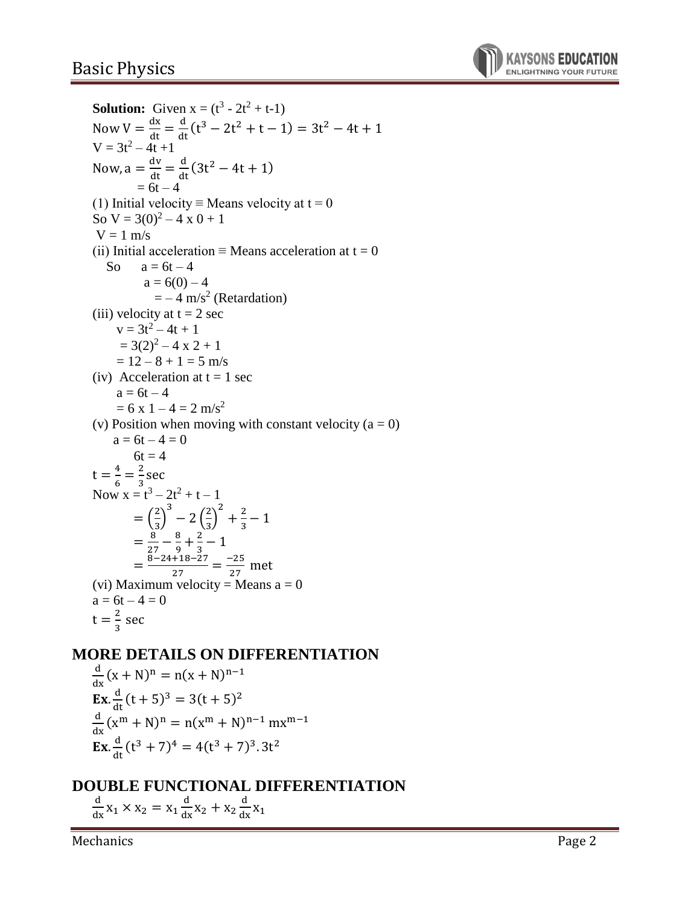# Basic Physics



**Solution:** Given  $x = (t^3 - 2t^2 + t - 1)$ Now  $V = \frac{dx}{dt}$  $\frac{dx}{dt} = \frac{d}{dt}$  $\frac{d}{dt}(t^3 - 2t^2 + t - 1) = 3t^2 - 4t + 1$  $V = 3t^2 - 4t + 1$ Now,  $a = \frac{dv}{dt}$  $\frac{dv}{dt} = \frac{d}{dt}$  $\frac{d}{dt}$  (3t<sup>2</sup> – 4t + 1)  $= 6t$ – 4 (1) Initial velocity ≡ Means velocity at  $t = 0$ So  $V = 3(0)^2 - 4x0 + 1$  $V = 1$  m/s (ii) Initial acceleration  $\equiv$  Means acceleration at t = 0 So  $a = 6t - 4$  $a = 6(0) - 4$  $=-4 \text{ m/s}^2$  (Retardation) (iii) velocity at  $t = 2$  sec  $v = 3t^2 - 4t + 1$  $= 3(2)^{2} - 4 \times 2 + 1$  $= 12 - 8 + 1 = 5$  m/s (iv) Acceleration at  $t = 1$  sec  $a = 6t - 4$  $= 6 \times 1 - 4 = 2 \text{ m/s}^2$ (v) Position when moving with constant velocity  $(a = 0)$  $a = 6t - 4 = 0$  $6t = 4$  $t = \frac{4}{6} = \frac{2}{3}$  sec Now  $x = t^3 - 2t^2 + t - 1$  $=\left(\frac{2}{3}\right)$ 3  $-2\left(\frac{2}{3}\right)$ 2  $+\frac{2}{3}-1$  $=\frac{8}{3}$  $\frac{8}{27} - \frac{8}{9} + \frac{2}{3} - 1$  $=\frac{8-24+18-27}{37}$  $\frac{+18-27}{27} = \frac{-25}{27}$  $\frac{25}{27}$  met (vi) Maximum velocity = Means  $a = 0$  $a = 6t - 4 = 0$  $t=\frac{2}{3}$  sec

#### **MORE DETAILS ON DIFFERENTIATION**

d  $\frac{d}{dx}(x+N)^n = n(x+N)^{n-1}$ **Ex.**  $\frac{d}{dt}(t+5)^3 = 3(t+5)^2$ d  $\frac{d}{dx}(x^m + N)^n = n(x^m + N)^{n-1} mx^{m-1}$ **Ex.**  $\frac{d}{dt}(t^3 + 7)^4 = 4(t^3 + 7)^3.3t^2$ 

## **DOUBLE FUNCTIONAL DIFFERENTIATION**

d  $\frac{d}{dx}$  x<sub>1</sub> × x<sub>2</sub> = x<sub>1</sub> d  $\frac{d}{dx}x_2 + x_2$ d  $\frac{u}{dx}X_1$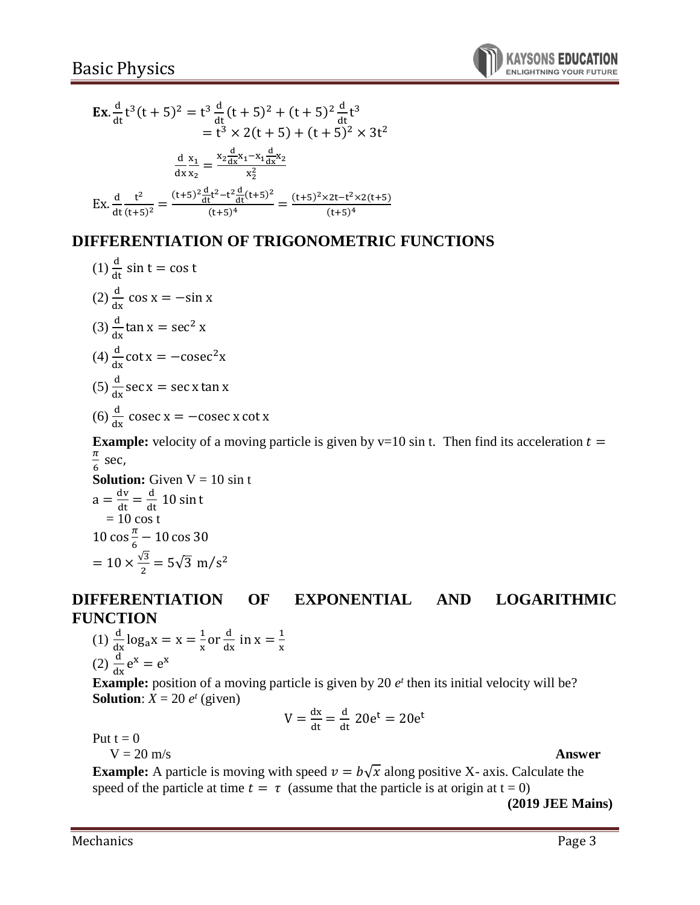

$$
\begin{aligned} \mathbf{Ex.} \frac{d}{dt} t^3 (t+5)^2 &= t^3 \frac{d}{dt} (t+5)^2 + (t+5)^2 \frac{d}{dt} t^3 \\ &= t^3 \times 2(t+5) + (t+5)^2 \times 3t^2 \\ \frac{d}{dx} \frac{x_1}{x_2} &= \frac{x_2 \frac{d}{dx} x_1 - x_1 \frac{d}{dx} x_2}{x_2^2} \\ \mathbf{Ex.} \frac{d}{dt} \frac{t^2}{(t+5)^2} &= \frac{(t+5)^2 \frac{d}{dt} t^2 - t^2 \frac{d}{dt} (t+5)^2}{(t+5)^4} = \frac{(t+5)^2 \times 2t - t^2 \times 2(t+5)}{(t+5)^4} \end{aligned}
$$

## **DIFFERENTIATION OF TRIGONOMETRIC FUNCTIONS**

(1) 
$$
\frac{d}{dt}
$$
 sin t = cos t  
\n(2)  $\frac{d}{dx}$  cos x = -sin x  
\n(3)  $\frac{d}{dx}$  tan x = sec<sup>2</sup> x  
\n(4)  $\frac{d}{dx}$  cot x = -cosec<sup>2</sup>x  
\n(5)  $\frac{d}{dx}$  sec x = sec x tan x  
\n(6)  $\frac{d}{dx}$  cosec x = -cosec x cot x

**Example:** velocity of a moving particle is given by  $v=10$  sin t. Then find its acceleration  $t =$  $\pi$  $\frac{\pi}{6}$  sec,

**Solution:** Given  $V = 10 \sin t$  $a = \frac{dv}{dt} = \frac{d}{dt} 10 \sin t$  $= 10 \cos t$ 10 cos $\frac{\pi}{6}$  $\frac{\pi}{6}$  – 10 cos 30  $= 10 \times \frac{\sqrt{3}}{2}$  $\frac{\pi}{2}$  = 5 $\sqrt{3}$  m/s<sup>2</sup>

## **DIFFERENTIATION OF EXPONENTIAL AND LOGARITHMIC FUNCTION**

(1) 
$$
\frac{d}{dx} \log_a x = x = \frac{1}{x} \text{ or } \frac{d}{dx} \text{ in } x = \frac{1}{x}
$$
  
(2)  $\frac{d}{dx} e^x = e^x$ 

**Example:** position of a moving particle is given by 20  $e^t$  then its initial velocity will be? **Solution**:  $X = 20 e^t$  (given)

$$
V = \frac{dx}{dt} = \frac{d}{dt} 20e^t = 20e^t
$$

t

Put  $t = 0$ 

 $V = 20$  m/s  $A$ **nswer** 

**Example:** A particle is moving with speed  $v = b\sqrt{x}$  along positive X- axis. Calculate the speed of the particle at time  $t = \tau$  (assume that the particle is at origin at  $t = 0$ )

**(2019 JEE Mains)**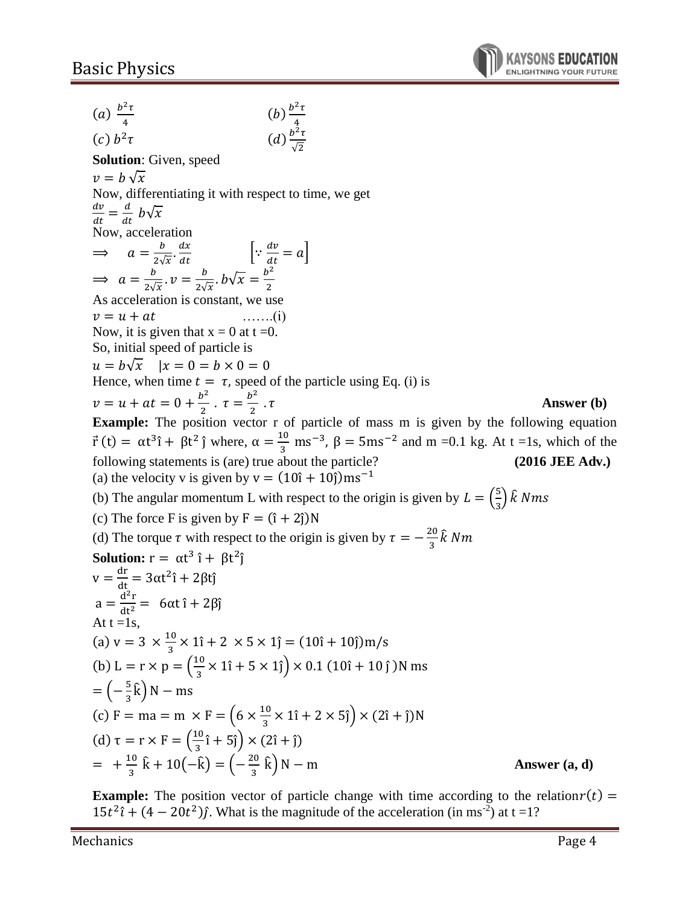(a)  $\frac{b^2\tau}{4}$ 4  $(b)$  $\frac{b^2\tau}{4}$ 4  $(c) b<sup>2</sup>$  $\tau$   $(d) \frac{b^2 \tau}{\sqrt{2}}$ √2 **Solution**: Given, speed  $v = b \sqrt{x}$ Now, differentiating it with respect to time, we get  $dv$  $\frac{dv}{dt} = \frac{d}{dt}$  $\frac{a}{dt}$   $b\sqrt{x}$ Now, acceleration  $\Rightarrow a = \frac{b}{2\sqrt{a}} \cdot \frac{dx}{dt}$  |:  $\frac{dv}{dt}$  $2\sqrt{x}$  dt  $\frac{dv}{dt} = a$  $\Rightarrow a = \frac{b}{a}$  $\frac{b}{2\sqrt{x}}$ .  $v = \frac{b}{2\sqrt{x}}$  $\frac{b}{2\sqrt{x}}$ .  $b\sqrt{x} = \frac{b^2}{2}$ 2 As acceleration is constant, we use  $v = u + at$  …….(i) Now, it is given that  $x = 0$  at  $t = 0$ . So, initial speed of particle is  $u = b\sqrt{x}$   $|x = 0 = b \times 0 = 0$ Hence, when time  $t = \tau$ , speed of the particle using Eq. (i) is  $v = u + at = 0 + \frac{b^2}{a}$  $\frac{b^2}{2}$ .  $\tau = \frac{b^2}{2}$ 2 . **Answer (b) Example:** The position vector r of particle of mass m is given by the following equation  $\vec{r}(t) = \alpha t^3 \hat{i} + \beta t^2 \hat{j}$  where,  $\alpha = \frac{10}{3}$  $\frac{10}{3}$  ms<sup>-3</sup>,  $\beta = 5$ ms<sup>-2</sup> and m =0.1 kg. At t =1s, which of the following statements is (are) true about the particle? **(2016 JEE Adv.)** (a) the velocity v is given by  $v = (10<sup>î</sup> + 10<sup>î</sup>)ms<sup>-1</sup>$ (b) The angular momentum L with respect to the origin is given by  $L = \left(\frac{5}{6}\right)$  $\frac{5}{3}$ )  $\hat{k}$  Nms (c) The force F is given by  $F = (\hat{i} + 2\hat{j})N$ (d) The torque  $\tau$  with respect to the origin is given by  $\tau = -\frac{20}{3}$  $\frac{20}{3}$ k Nm **Solution:**  $r = \alpha t^3 \hat{i} + \beta t^2 \hat{j}$  $v = \frac{dr}{dt} = 3\alpha t^2 \hat{i} + 2\beta t \hat{j}$  $a = \frac{d^2r}{dt^2}$  $\frac{d^{2}I}{dt^{2}} = 6\alpha t \hat{i} + 2\beta \hat{j}$ At  $t = 1s$ , (a)  $v = 3 \times \frac{10}{3}$  $\frac{10}{3}$  × 1î + 2 × 5 × 1ĵ = (10î + 10ĵ)m/s (b) L = r  $\times$  p =  $\left(\frac{10}{2}\right)$  $\frac{10}{3} \times 1\hat{i} + 5 \times 1\hat{j}$   $\times 0.1$  (10 $\hat{i}$  + 10  $\hat{j}$ )N ms  $=$  $\left(-\frac{5}{5}\right)$  $\frac{5}{3}\hat{k}$ ) N – ms (c) F = ma = m  $\times$  F =  $\left(6 \times \frac{10}{2}\right)$  $\frac{10}{3} \times 1\hat{i} + 2 \times 5\hat{j} \times (2\hat{i} + \hat{j})N$ (d)  $\tau = r \times F = \frac{10}{3}$  $\frac{10}{3}$ î + 5ĵ $\big) \times (2$ î + ĵ $)$  $=$   $+\frac{10}{3}$  $rac{10}{3}$  k̂ + 10(-k̂) = (- $rac{20}{3}$  $\frac{20}{3}$  k̂) N – m **Answer (a, d)** 

**Example:** The position vector of particle change with time according to the relation $r(t)$  =  $15t^2\hat{i} + (4-20t^2)\hat{j}$ . What is the magnitude of the acceleration (in ms<sup>-2</sup>) at t = 1?